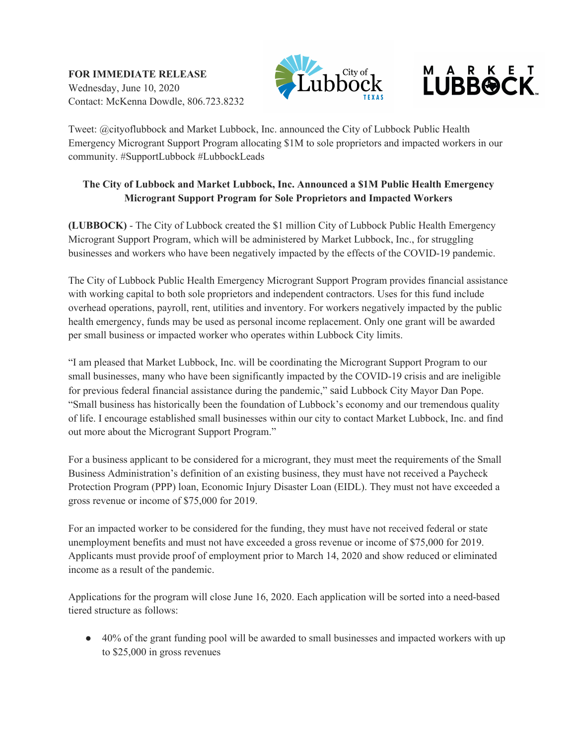**FOR IMMEDIATE RELEASE**  Wednesday, June 10, 2020 Contact: McKenna Dowdle, 806.723.8232



## **LUBBOCK**

Tweet: @cityoflubbock and Market Lubbock, Inc. announced the City of Lubbock Public Health Emergency Microgrant Support Program allocating \$1M to sole proprietors and impacted workers in our community. #SupportLubbock #LubbockLeads

## **The City of Lubbock and Market Lubbock, Inc. Announced a \$1M Public Health Emergency Microgrant Support Program for Sole Proprietors and Impacted Workers**

**(LUBBOCK)** - The City of Lubbock created the \$1 million City of Lubbock Public Health Emergency Microgrant Support Program, which will be administered by Market Lubbock, Inc., for struggling businesses and workers who have been negatively impacted by the effects of the COVID-19 pandemic.

The City of Lubbock Public Health Emergency Microgrant Support Program provides financial assistance with working capital to both sole proprietors and independent contractors. Uses for this fund include overhead operations, payroll, rent, utilities and inventory. For workers negatively impacted by the public health emergency, funds may be used as personal income replacement. Only one grant will be awarded per small business or impacted worker who operates within Lubbock City limits.

"I am pleased that Market Lubbock, Inc. will be coordinating the Microgrant Support Program to our small businesses, many who have been significantly impacted by the COVID-19 crisis and are ineligible for previous federal financial assistance during the pandemic," said Lubbock City Mayor Dan Pope. "Small business has historically been the foundation of Lubbock's economy and our tremendous quality of life. I encourage established small businesses within our city to contact Market Lubbock, Inc. and find out more about the Microgrant Support Program."

For a business applicant to be considered for a microgrant, they must meet the requirements of the Small Business Administration's definition of an existing business, they must have not received a Paycheck Protection Program (PPP) loan, Economic Injury Disaster Loan (EIDL). They must not have exceeded a gross revenue or income of \$75,000 for 2019.

For an impacted worker to be considered for the funding, they must have not received federal or state unemployment benefits and must not have exceeded a gross revenue or income of \$75,000 for 2019. Applicants must provide proof of employment prior to March 14, 2020 and show reduced or eliminated income as a result of the pandemic.

Applications for the program will close June 16, 2020. Each application will be sorted into a need-based tiered structure as follows:

● 40% of the grant funding pool will be awarded to small businesses and impacted workers with up to \$25,000 in gross revenues